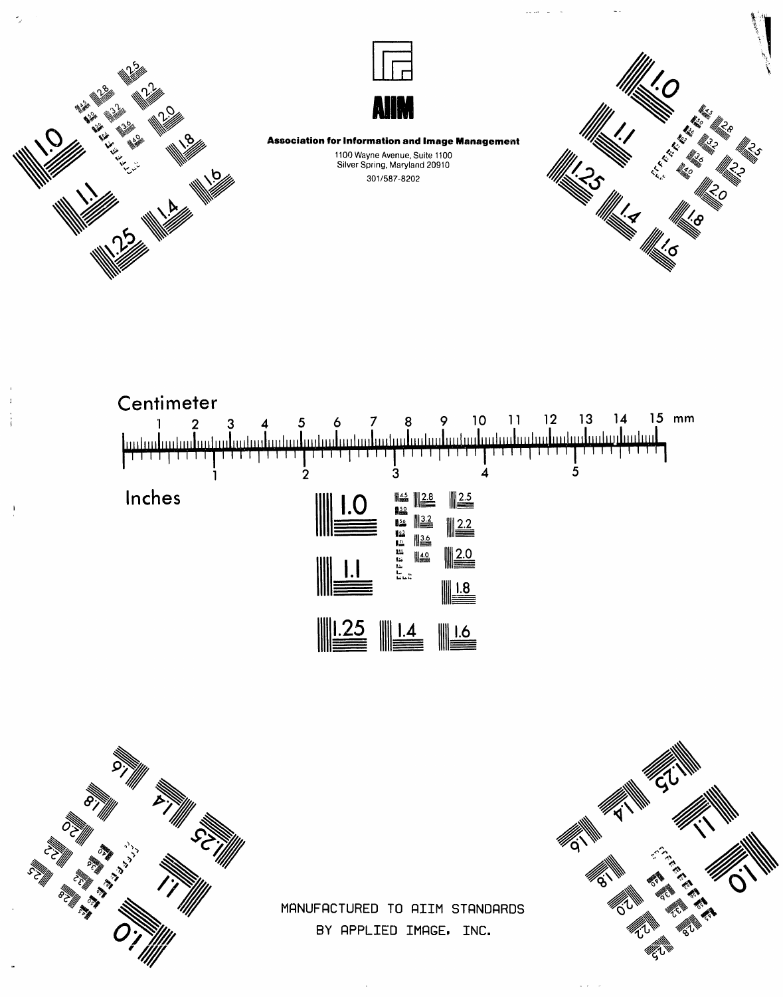

 $\overline{\phantom{a}}$ 





## **Association for Information and Image Management**

1100 Wayne Avenue, Suite 1100<br>Silver Spring, Maryland 20910 301/587-8202











 $\omega = \epsilon$  $\sim$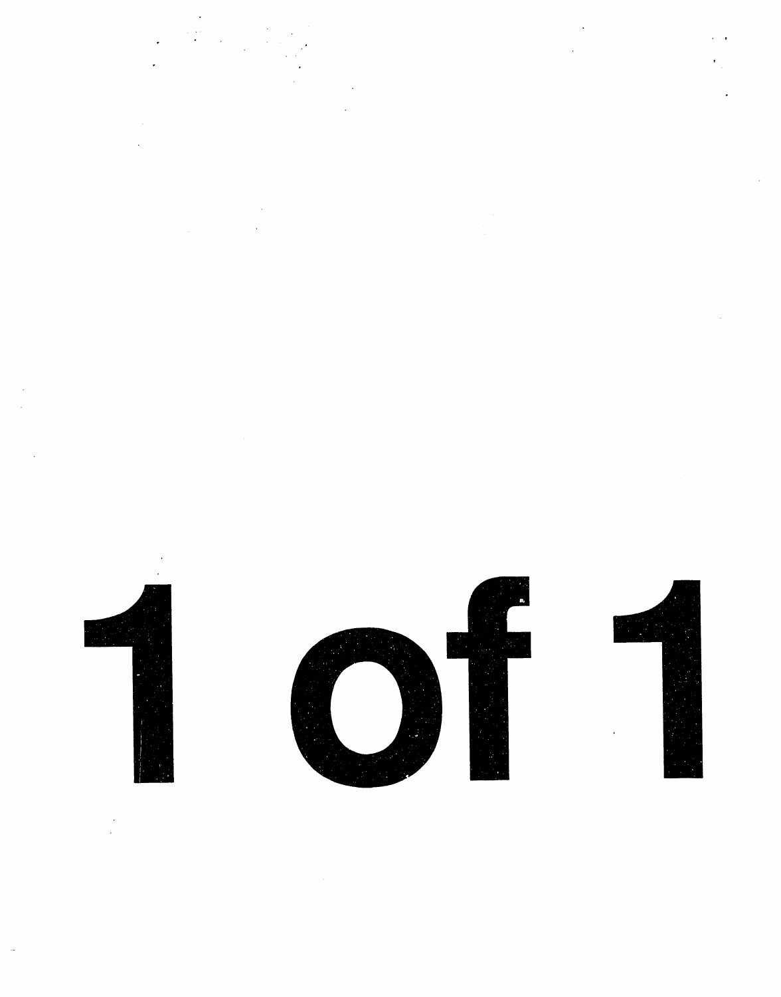$\mathcal{O}(\mathcal{O}_\mathcal{O})$  .  $\label{eq:2.1} \frac{1}{\sqrt{2}}\int_{\mathbb{R}^3}\frac{1}{\sqrt{2}}\left(\frac{1}{\sqrt{2}}\right)^2\left(\frac{1}{\sqrt{2}}\right)^2\left(\frac{1}{\sqrt{2}}\right)^2\left(\frac{1}{\sqrt{2}}\right)^2\left(\frac{1}{\sqrt{2}}\right)^2.$  $\mathcal{L}(\mathcal{A})$  and  $\mathcal{L}(\mathcal{A})$  .  $\mathcal{L}_{\text{max}}$ 

 $\label{eq:2.1} \mathcal{L}(\mathbf{z}) = \mathcal{L}(\mathbf{z}) \mathcal{L}(\mathbf{z})$ 

 $\mathcal{L}^{\mathcal{L}}$ 

 $\mathcal{L}^{\text{max}}_{\text{max}}$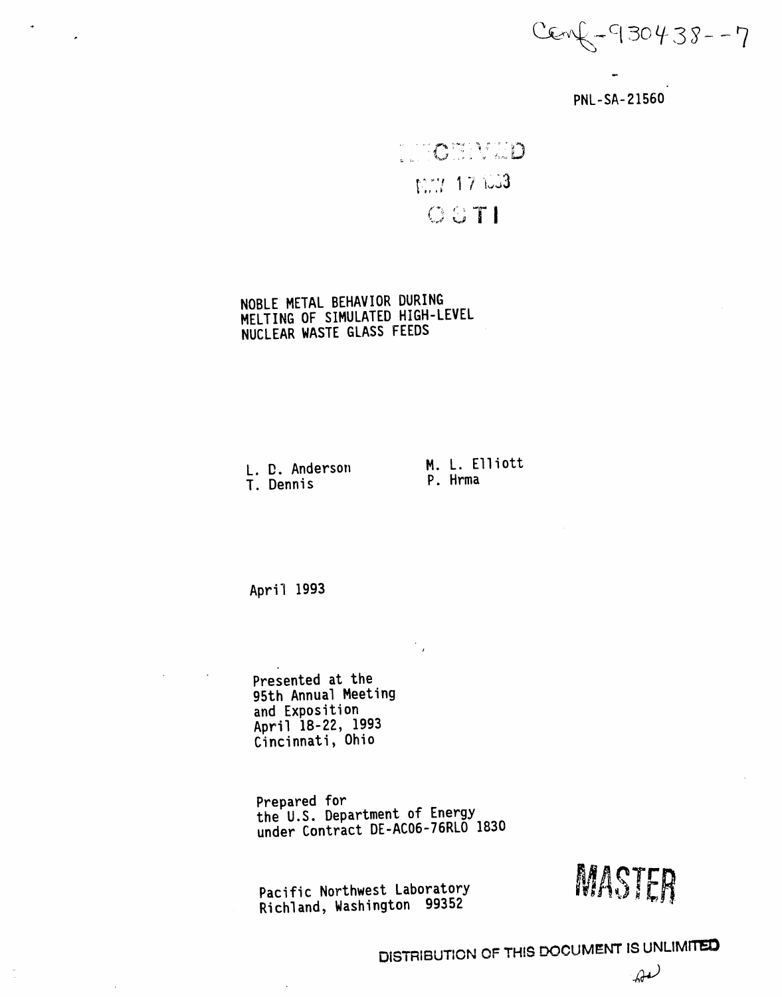$Cov(-930438--7)$ 

**PNL-SA-21560** 

**STORY AD** 17 17 133 OSTI

NOBLE METAL BEHAVIOR DURING MELTING OF SIMULATED HIGH-LEVEL NUCLEAR WASTE GLASS FEEDS

L. D. Anderson T. Dennis

M. L. Elliott P. Hrma

April 1993

 $\ddot{\phantom{1}}$ 

 $\bar{z}$ 

Presented at the 95th Annual Meeting and Exposition April 18-22, 1993 Cincinnati, Ohio

Prepared for the U.S. Department of Energy<br>under Contract DE-AC06-76RL0 1830

Pacific Northwest Laboratory Richland, Washington 99352



DISTRIBUTION OF THIS DOCUMENT IS UNLIMITED

 $\mathcal{A}$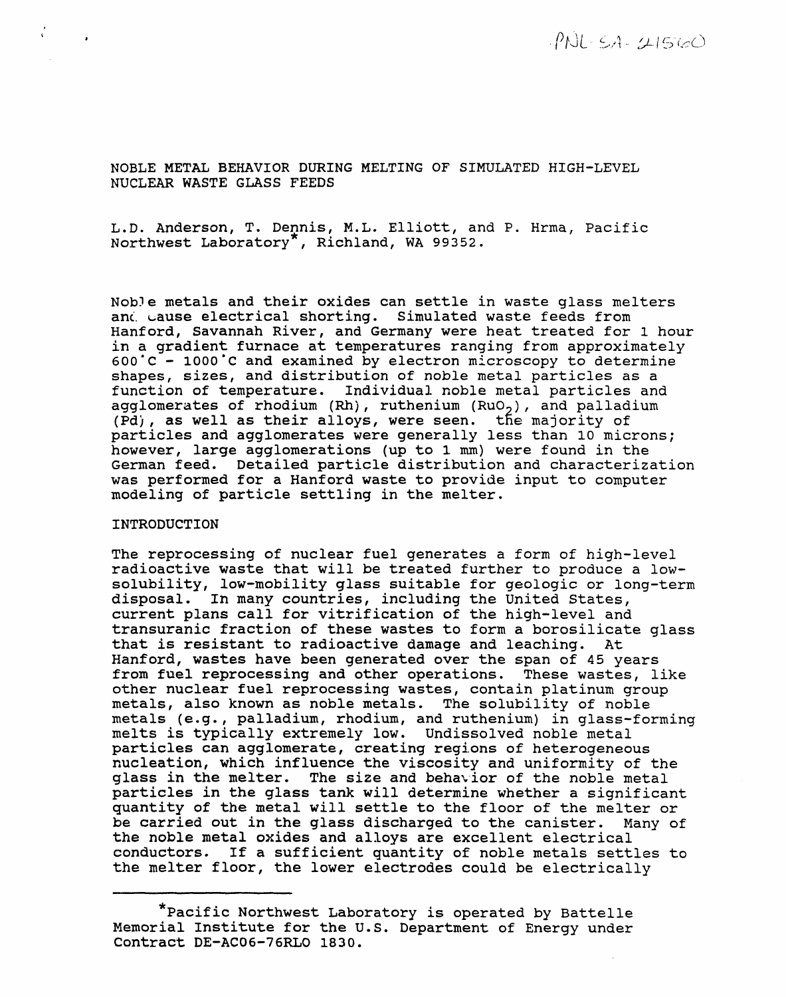NOBLE METAL BEHAVIOR DURING MELTING OF SIMULATED HIGH-LEVEL NUCLEAR WASTE GLASS FEEDS

L.D. Anderson, T. Dennis, M.L. Elliott, and P. Hrma, Pacific Northwest Laboratory<sup>7</sup>, Richland, WA 99352.

Noble metals and their oxides can settle in waste glass melters anc uause electrical shorting. Simulated waste feeds from Hanford, Savannah River, and Germany were heat treated for 1 hour in a gradient furnace at temperatures ranging from approximately 600"C - 1000"C and examined by electron microscopy to determine shapes, sizes, and distribution of noble metal particles as a function of temperature. Individual noble metal particles and function of temperature. Individual noble metal particles and agglomerates of rhodium (Rh), ruthenium (RuO2), and palladium (Pd), as well as their alloys, were seen. the majority of particles and agglomerates were generally less than 10 microns; however, large agglomerations (up to 1 mm) were found in the German feed. Detailed particle distribution and characterization was performed for a Hanford waste to provide input to computer modeling of particle settling in the melter.

### INTRODUCTION

The reprocessing of nuclear fuel generates a form of high-level<br>radioactive waste that will be treated further to produce a lowradioactive waste that will be treated further to produce a lowsolubility, low-mobility glass suitable for geologic or long-term disposal. In many countries, including the United States, current plans call for vitrification of the high-level and transuranic fraction of these wastes to form a borosilicate glass that is resistant to radioactive damage and leaching. At Hanford, wastes have been generated over the span of 45 years from fuel reprocessing and other operations. These wastes, like other nuclear fuel reprocessing wastes, contain platinum group metals, also known as noble metals. The solubility of noble metals (e.g., palladium, rhodium, and ruthenium) in glass-forming melts is typically extremely low. Undissolved noble metal particles can agglomerate, creating regions of heterogeneous nucleation, which influence the viscosity and uniformity of the glass in the melter. The size and behavior of the noble metal particles in the glass tank will determine whether a significant quantity of the metal will settle to the floor of the melter or be carried out in the glass discharged to the canister. Many of the noble metal oxides and alloys are excellent electrical conductors. If a sufficient quantity of noble metals settles to the melter floor, the lower electrodes could be electrically

<sup>\*</sup>Pacific Northwest Laboratory is operated by Battelle Memorial Institute for the U.S. Department of Energy under Contract DE-AC06-76RLO 1830.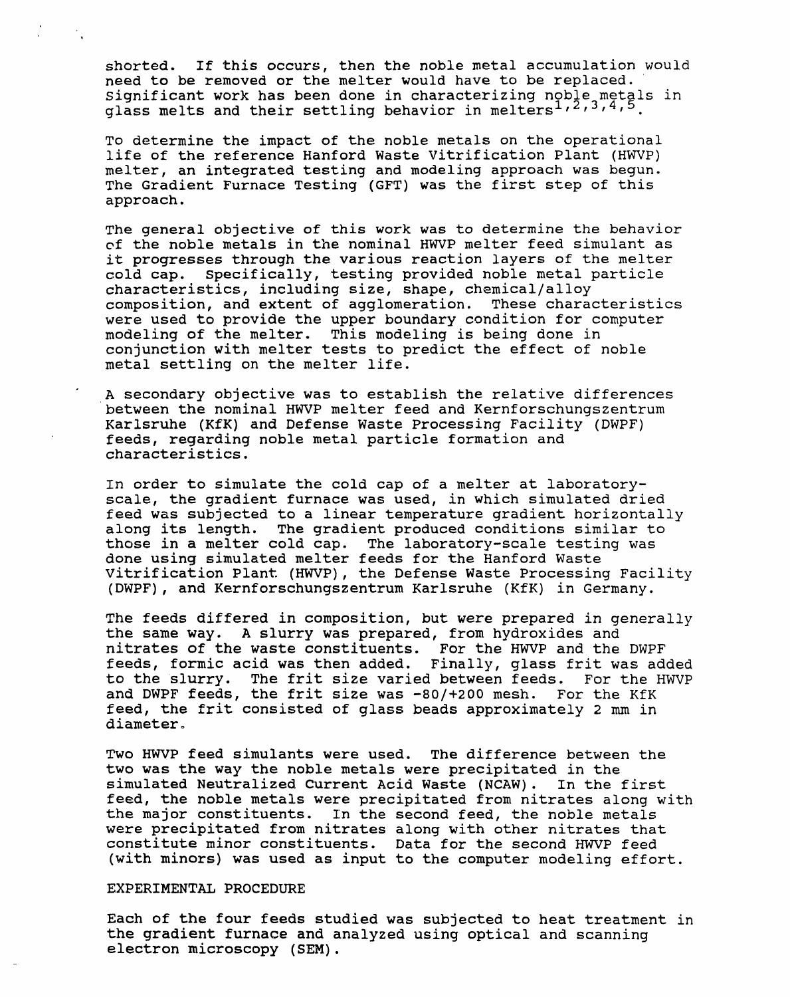shorted. If this occurs, then the noble metal accumulation would need to be removed or the melter would have to be replaced. Significant work has been done in characterizing noble metals in glass melts and their settling behavior in melters<sup>1,2,3,4,5</sup>.

To determine the impact of the noble metals on the operational life of the reference Hanford Waste Vitrification Plant (HWVP) melter, an integrated testing and modeling approach was begun. The Gradient Furnace Testing (GFT) was the first step of this approach.

The general objective of this work was to determine the behavior ef the noble metals in the nominal HWVP melter feed simulant as it progresses through the various reaction layers of the melter cold cap. Specifically, testing provided noble metal particle characteristics, including size, shape, chemical/alloy composition, and extent of agglomeration. These characteristics were used to provide the upper boundary condition for computer modeling of the melter. This modeling is being done in conjunction with melter tests to predict the effect of noble metal settling on the melter life.

A secondary objective was to establish the relative differences between the nominal HWVP melter feed and Kernforschungszentrum Karlsruhe (KfK) and Defense Waste Processing Facility (DWPF) feeds, regarding noble metal particle formation and characteristics.

In order to simulate the cold cap of a melter at laboratoryscale, the gradient furnace was used, in which simulated dried feed was subjected to a linear temperature gradient horizontally along its length. The gradient produced conditions similar to those in a melter cold cap. The laboratory-scale testing was done using simulated melter feeds for the Hanford Waste Vitrification Plant (HWVP), the Defense Waste Processing Facility (DWPF), and Kernforschungszentrum Karlsruhe (KfK) in Germany.

The feeds differed in composition, but were prepared in generally the same way. A slurry was prepared, from hydroxides and nitrates of the waste constituents. For the HWVP and the DWPF feeds, formic acid was then added. Finally, glass frit was added to the slurry. The frit size varied between feeds. For the HWVP and DWPF feeds, the frit size was -80/+200 mesh. For the KfK feed, the frit consisted of glass beads approximately 2 mm in diameter.

Two HWVP feed simulants were used. The difference between the two was the way the noble metals were precipitated in the simulated Neutralized Current Acid Waste (NCAW). In the first feed, the noble metals were precipitated from nitrates along with the major constituents. In the second feed, the noble metals were precipitated from nitrates along with other nitrates that constitute minor constituents. Data for the second HWVP feed (with minors) was used as input to the computer modeling effort.

### EXPERIMEN**T**AL PROCEDURE

\_

I

Each of the four feeds studied was subjected to heat treatment in the gradient furnace and analyzed using optical and scanning electron microscopy (SEM).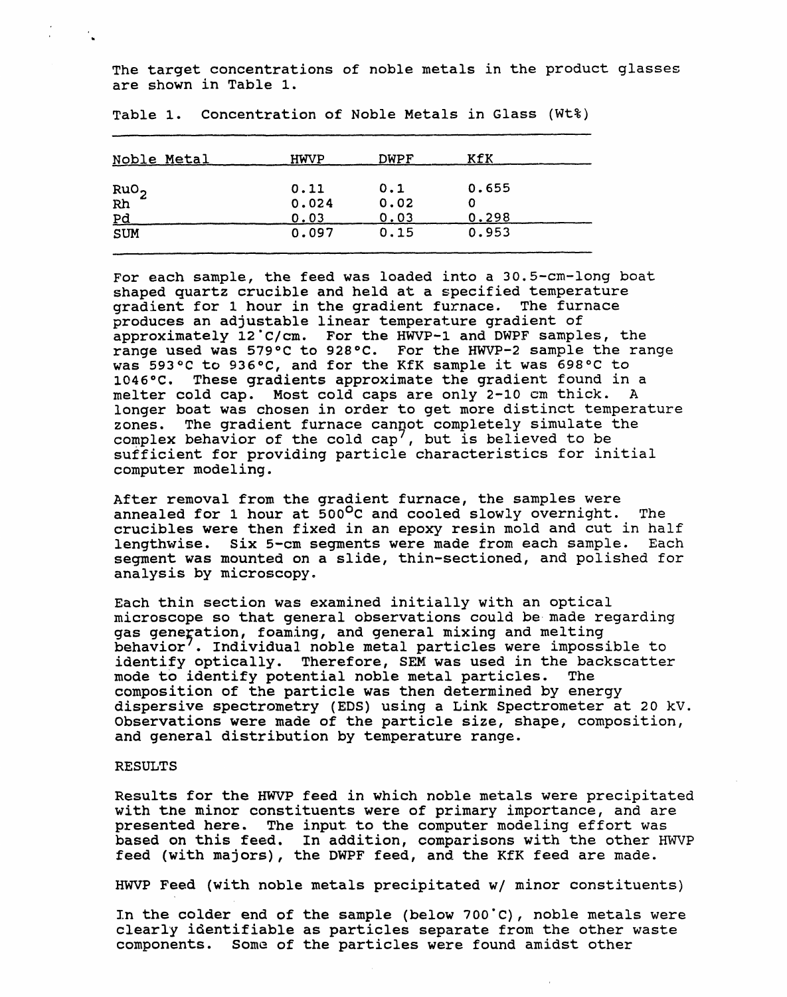The target concentrations of noble metals in the product glasses are shown in Table i.

| Noble Metal                     | <b>HWVP</b>                    | <b>DWPF</b>                 | KfK                     |  |
|---------------------------------|--------------------------------|-----------------------------|-------------------------|--|
| $RHO_2$<br>Rh<br>$rac{Pd}{SUM}$ | 0.11<br>0.024<br>0.03<br>0.097 | 0.1<br>0.02<br>0.03<br>0.15 | 0.655<br>0.298<br>0.953 |  |

Table i. Concentration of Noble Metals in Glass (Wt%)

For each sample, the feed was loaded into a 30.5-cm-long boat shaped quartz crucible and held at a specified temperature gradient for 1 hour in the gradient furnace. The furnace produces an adjustable linear temperature gradient of approximately 12"C/cm. For the HWVP-I and DWPF samples, the range used was 579**°**C to 928**°**C. For the HWVP-2 sample the range was 593°C to 936**°**C, and for the KfK s**a**mple it was 698°C to These gradients approximate the gradient found in a melter cold cap. Most cold caps are only 2-10 cm thick. A longer boat was chosen in order to get more distinct temperature zones. The gradient furnace cannot completely simulate the complex behavior of the cold cap<sup>7</sup>, but is believed to be sufficient for providing particle characteristics for initial computer modeling.

After removal from the gradient furnace, the samples were annealed for 1 hour at 500°C and cooled slowly overnight. The crucibles were then fixed in an epoxy resin mold and cut in half lengthwise. Six 5-cm segments were made from each sample. segment was mounted on a slide, thin-sectioned, and polished for analysis by microscopy.

Each thin section was examined initially with an optical microscope so that general observations could be made regarding gas ge**n**eration, foa**m**ing, and ge**n**eral mi**x**ing and melting behavior'. Individual noble metal particles were impossible to ident**i**fy optica**l**ly. **T**he**r**efore, SEM was used in the ba**c**kscatter mode to identify potential noble metal particles. The composition of the particle was then determined by energy dispersive spectrometry (EDS) using a Link Spectrometer at 20 kV. Observations were made of the particle size, shape, composition, and general distribution by temperature range.

## RESULTS

Results for the HWVP feed in which noble metals were precipitated with the minor constituents were of primary importance, and are presented here. The input to the computer modeling effort was b**a**sed on this feed. In addition, comparisons with the other HWVP feed (with ma**j**ors)**,** the DWPF feed, and the KfK feed are made.

HWVP Feed (w**i**th noble metals precipitated w/ min**o**r c**o**nstituents)

In the colder end of the sample (below 700°C), noble metals were clearly identifiable as particles separate from the other waste components. Some of the particles were found amidst other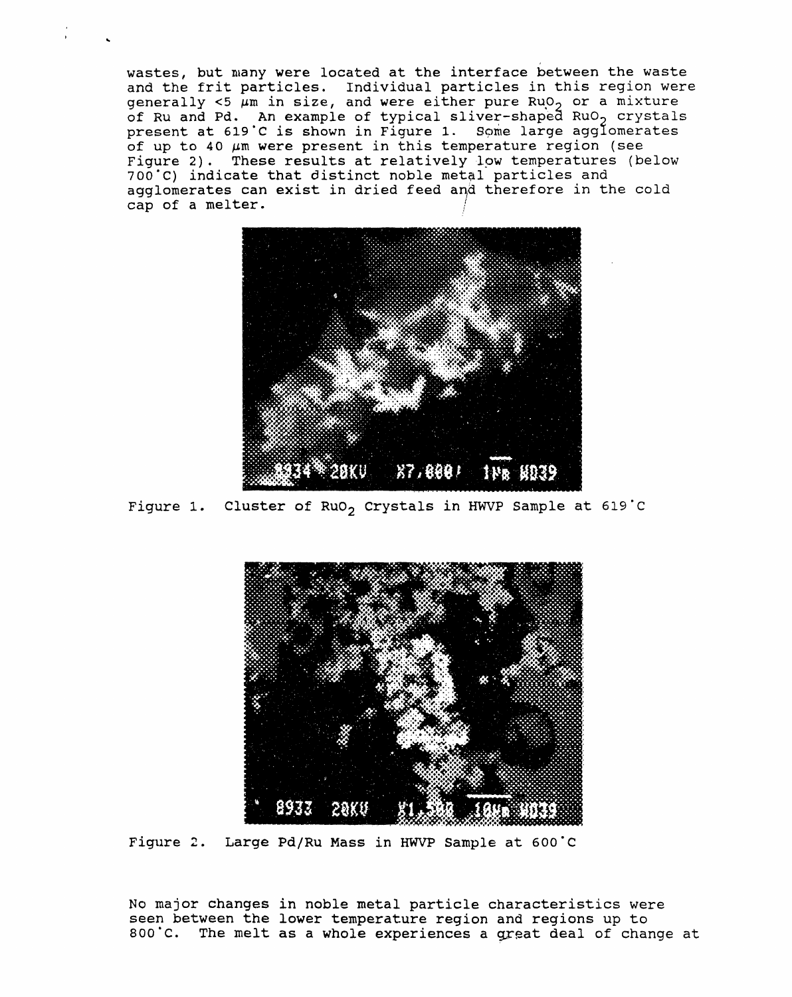wastes, but many were located at the interface between the waste and the frit particles. Individual particles in this region were generally <5 vm in size, and were either pure RuO 2 or a mixture of Ru and Pd An example of typical sliver-shaped RuO\_ crystals present at 619 C is shown in Figure i. Some large agglomerat of up to 40  $\mu$ m were present in this temperature region (see Figure 2). These results at relatively low temperatures (below 700"C) indicate that distinct noble metal particles and agglomerates can exist in dried feed and therefore in the cold cap of a melter.



Figure 1. Cluster of RuO<sub>2</sub> Crystals in HWVP Sample at 619'C



Figure 2. Large Pd/Ru Mass in HWVP Sample at 600"C

No major changes in noble metal particle characteristics were seen between the lower temperature region and regions up to 800 C. The melt as a whole experiences a great deal of change at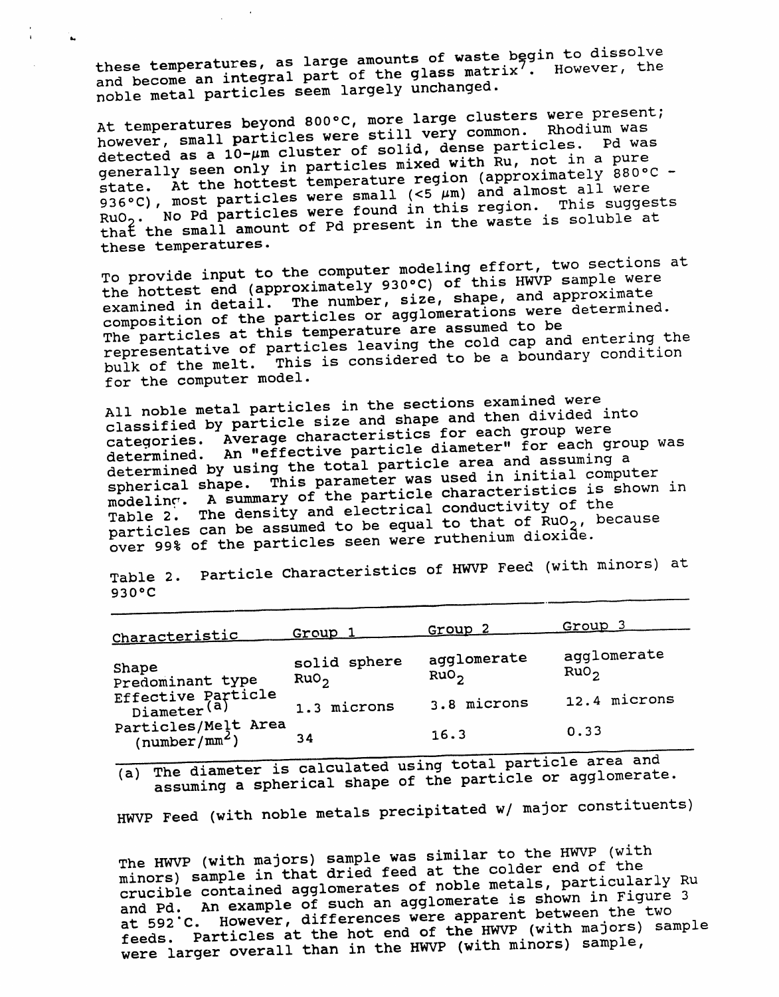these temperatures, as  $\frac{1}{2}$  and  $\frac{1}{2}$  and  $\frac{1}{2}$  of the glass matrix'. However, to and become an integral part of  $\frac{1}{2}$  the glass matrix inchanged.

noble metal particles seem largely unchanged.<br>At temperatures beyond 800°C, more large clusters were present; At temperatures beyond 800 personal very common. Rhodium was however, small particles were still dense particles. Pd W detected as a  $10-\mu$ m cluster of solid, dense particles. Pd was generally seen only in particles mixed with Ru, not in a pure generally seen only in partnership region (approximately 880 state. At the hottest temperature region and almost all were 936°C), most particles were small  $(5\ \mu$ m) and almost all were<br>RuO<sub>2</sub>. No Pd particles were found in this region. This suggests Ruo 2. No Pharman and present in the waste is soluble at that the small amount of  $P\subseteq P$  present  $P$ these temperatures.

To provide input to the computer modeling effort, two sections at the hottest end (approximately 930**°**C) of this HWVP sample were examined in detail. The number, size, shape, and approximate composition of the particles or agglomerations were determined. representative of particles leaving the cold cap and entering the representative of particular considered to be a boundary condition bulk of the melt. This is considered to for the computer model.

All noble metal particles in the sections examined were classified by particle size and shape and then divided into categories**.** Average characteristics for each group were determined. An "effective particle diameter" for each group was determined by using the total particle area and assuming a<br>spherical shape. This parameter was used in initial computer spherical shape. This parameter characteristics is sho modeling. A summary  $\sim$  particle conductivity of the Table 2. The density and electrical conductivity of the<br>particles can be assumed to be equal to that of RuO<sub>2</sub>, because particles can be assumed to be not the ruthenium dioxide. over 99% of the particles seen were run

Table 2. Particle Characteristics of HWVP Feed (with minors) at 930**o**c

|                                                  |                                  | Group <sub>2</sub>              | Group 3                         |
|--------------------------------------------------|----------------------------------|---------------------------------|---------------------------------|
| <u>Characteristic</u>                            | Group <sub>1</sub>               |                                 |                                 |
| Shape<br>Predominant type                        | solid sphere<br>RuO <sub>2</sub> | agglomerate<br>RuO <sub>2</sub> | agglomerate<br>RuO <sub>2</sub> |
| Effective Particle<br>Diameter <sup>(a)</sup>    | 1.3 microns                      | 3.8 microns                     | 12.4 microns                    |
| Particles/Melt Area<br>(number/mm <sup>2</sup> ) | 34                               | 16.3                            | 0.33                            |

(a) The diameter is calculated using the particle or agglomera assuming a spherical shape of the particle or agglomerate.

HWVP Feed (with noble metals precipitated w/ major constituents)

The HWVP (with majors) sample was similar to the HWVP (with minors) sample in that dried feed at the colder end of the minors) sample in that driver is noble metals, particul crucible contained agglomerates of normals, s shown in Figure 3 and Pd. An example of such an agglomerate is shown in Figure 3 at 592'C. However, differences were apparent between the two feeds. Particles at the hot end of the HWVP (with majors) sample were larger overall than in the HWVP (with minors) sample,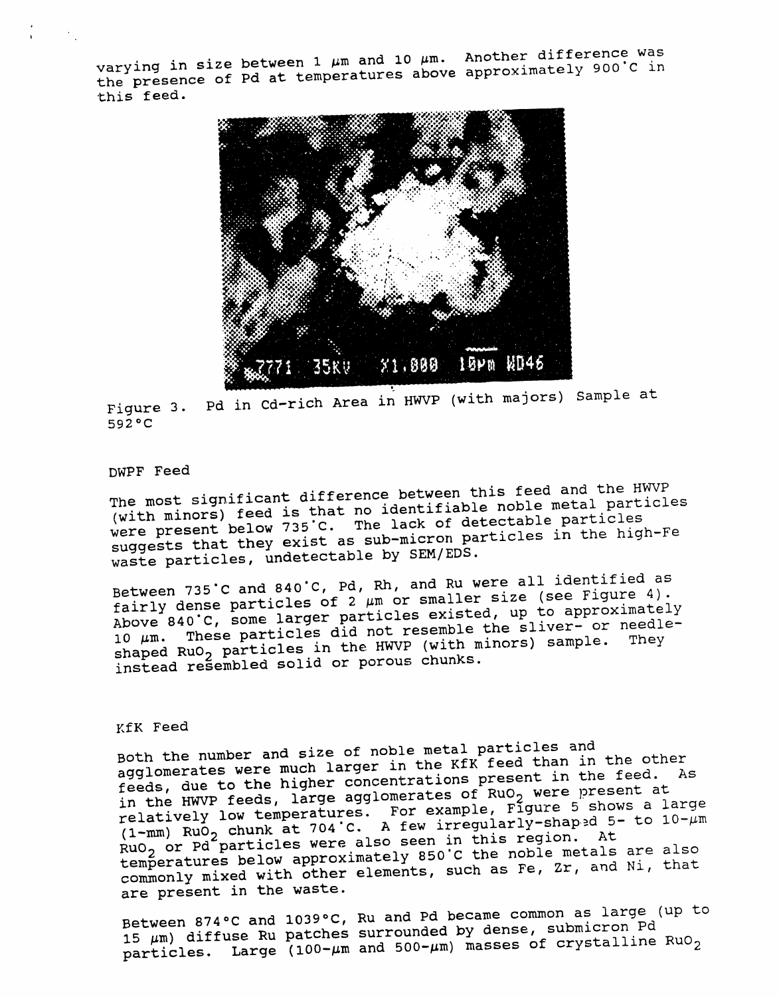varying in size  $D = \frac{1}{2}$  ,  $\frac{1}{2}$  varying above approximately 900  $C = 1$ the presence of Pd at temperatures above approximately 900"C in the state and the presence of Political Section this feed.



Figure 3. Pd in Cd-rich Area in  $\mathbb{R}^n$ 592**°**C

# DWPF Feed

The most significant difference between this feed and the HWVP<br>(with minors) feed is that no identifiable noble metal particles were present below 735 C. The lack of detectable particles were present below  $\overline{a}$  is a cubenicron particles in the  $\overline{a}$  $s$ uggests that they existend particles in  $s_{\text{EW}}$  as  $s_{\text{EW}}$  Femiles in the high-Femiles in the high-Femiles in the high-Femiles in the  $s_{\text{EW}}$ waste particles, undetectable by SEM/EDS.

Between 735 C and 840 C, Pd, Rh, and Ru were all identified as fairly dense particles of 2  $\mu$ m or smaller size (see Figure 4). fairly dense particles of particles existed, up to approximate. Above 840 C, some larger part  $\frac{1}{2}$  and  $\frac{1}{2}$  and  $\frac{1}{2}$  approximately the sliver- or need 10  $\mu$ m. These particles did not result in the slight minors) sample. They  $\frac{1}{2}$  particles in the HWVP (with minors) shaped  $\frac{1}{2}$  and  $\frac{1}{2}$  and  $\frac{1}{2}$  and  $\frac{1}{2}$  and  $\frac{1}{2}$  and  $\frac{1}{2}$  and  $\frac{1}{2}$  and  $\frac{1}{2}$  and  $\frac{1}{2}$  and  $\frac{1}{2}$  and  $\frac{1}{2}$  and  $\frac{1}{2}$  and instead resembled solid or porous chunks.

### KfK Feed

Both the number and size of noble metal particles and<br>agglomerates were much larger in the KfK feed than in the other agglomerates were much a concentrations present in the feed. feeds, due to the higher concentrations present in the feeds, and feeder. in the HWVP feeds, large agglomerates of  $RuO_2$  were present at relatively low temperatures. For example, Figure 5 shows a large (1-mm) RuO<sub>2</sub> chunk at 704 C. A few irregularly-shaped 5- to 10- $\mu$ m<br>RuO<sub>2</sub> or Pd particles were also seen in this region. At Ruo<sub>2</sub> or Punce bolow approximately 850°C the noble metals temperatures below approximate such as Fe,  $2r$ , and  $N1$ , that commonly mixed with other elements, such as Fe, Zr, and Ni, that are present in the waste.

Between 874°C and 1039°C, Ru and Pd became common as large (up to<br>15  $\mu$ m) diffuse Ru patches surrounded by dense, submicron Pd 15  $\mu$ m) diffuse Ru patches surrounded bond bond passes of crystalling particles. Large  $(10^{-10})$  masses of contract  $\frac{1}{2}$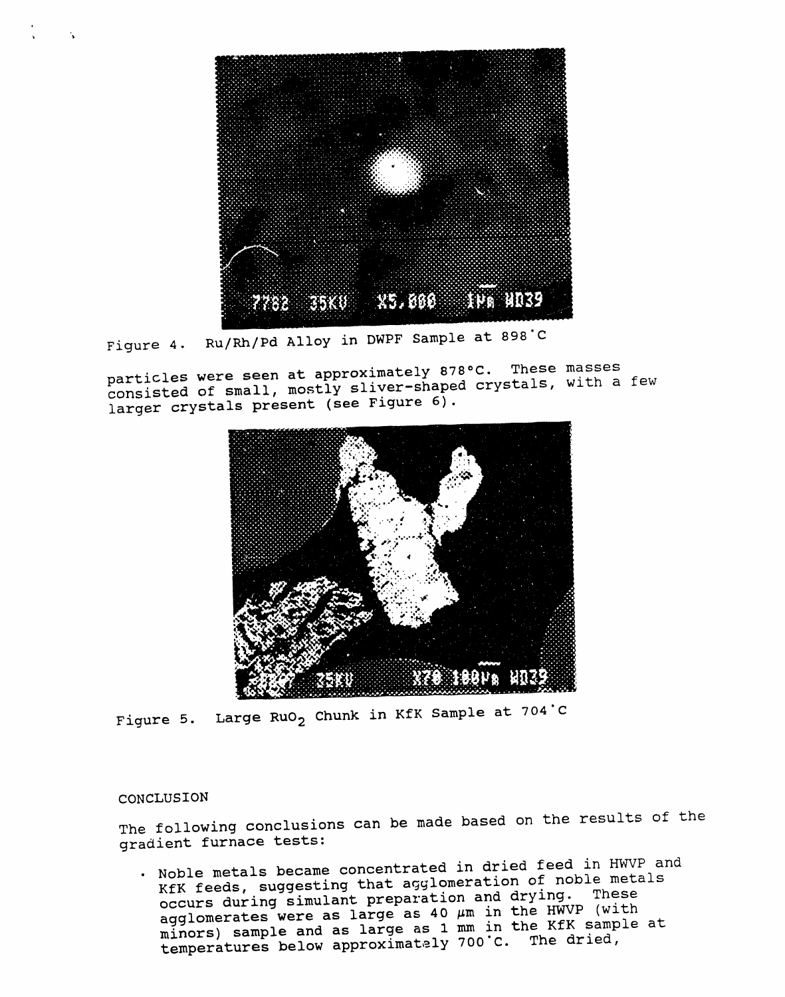

Figure 4. Ru/Rh/Pd Alloy in DWPF Sample at 898"C

particles were seen and seen at a proximate seen at a set of the seed of the seed of the seed of the seed of th consisted of small, mostly sliver-shaped crystals,  $\frac{1}{2}$ larger crystals present (see Figure 6).



Figure 5. Large RuO<sub>2</sub> Chunk in KfK Sample at 704'C

# CONCLUSION

The following conclusions can be made based on the results of the gradient furnace tests:

• Noble metals became concentrated in dried feed in HWVP and KfK feeds, suggesting that agglomeration of noble metals<br>occurs during simulant preparation and drying. These agglomerates were as large as 40  $\mu$ m in the HWVP (with minors) sample and as large as 1 mm in the KfK sample at minors) sample and as  $\frac{m}{n}$  and  $\frac{m}{n}$   $\frac{1}{N}$   $\frac{700}{n}$ . The dried,  $t$ emperatures below approximately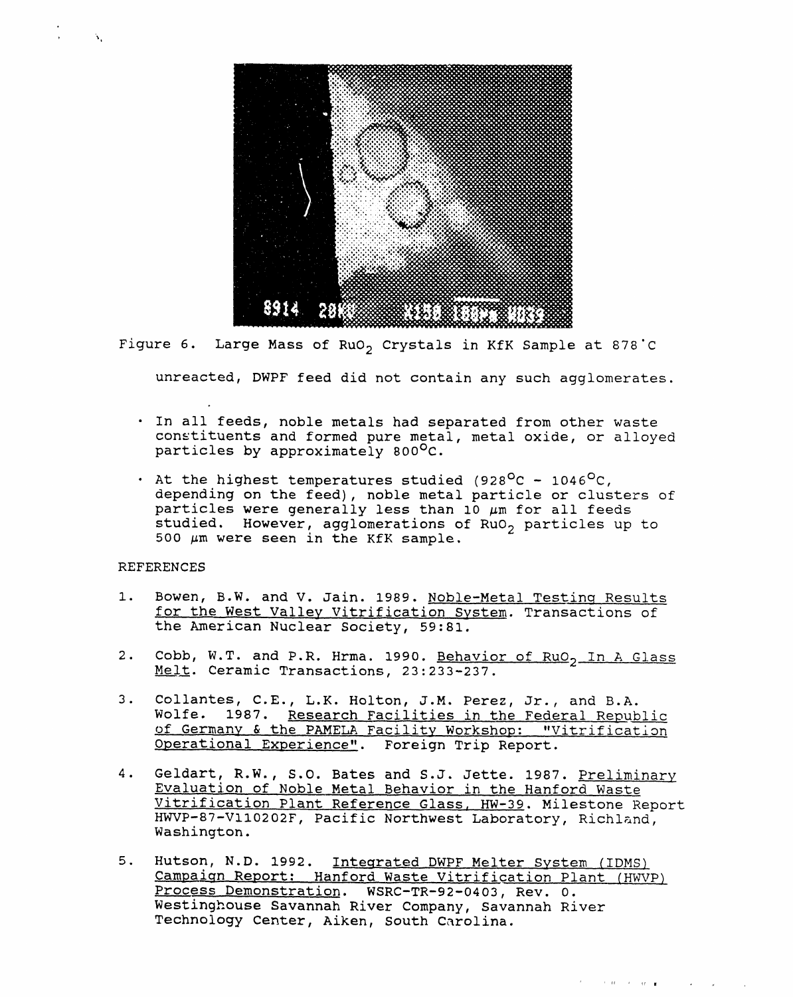

Figure 6. Large Mass of RuO<sub>2</sub> Crystals in KfK Sample at 878'C

unreacted, DWPF feed did not contain any such agglomerates.

- In all feeds, noble metals had separated from other waste constituents and formed pure metal, metal oxide, or alloyed particles by approximately 800°C.
- $\cdot$  At the highest temperatures studied (928<sup>o</sup>C 1046<sup>o</sup>C, depending on the feed), noble metal particle or clusters of particles were generally less than 10  $\mu$ m for all feeds studied. However, agglomerations of RuO<sub>2</sub> particles up to 500  $\mu$ m were seen in the KfK sample.

## REFERENCES

- 1. Bowen, B.W. and V. Jain. 1989. Noble-Metal Testing Results for the West Valley Vitrification System. Transactions of the American Nuclear Society, 59:81.
- 2. Cobb, W.T. and P.R. Hrma. 1990. Behavior of RuO<sub>2</sub> In A Glass Melt. Ceramic Transactions, 23:233-237.
- 3. Collantes, C.E., L.K. Holton, J.M. Perez, Jr., and B.A. Wolfe. 1987. Research Facilities in the Federal Republic of Germany & the PAMELA Facility Workshop: "Vitrification Operational Experience". Foreign Trip Report.
- 4. Geldart, R.W., S.O. Bates and S.J. Jette. 1987. Preliminary Evaluation of Noble Metal Behavior in the Hanford Waste Vitrification Plant Reference Glass, HW-39. Milestone Report HWVP-87-VII0202F, Pacific Northwest Laboratory, Richland, Washington.
- 5. Hutson, N.D. 1992. Integrated DWPF Melter System (IDMS) Campaign Report: Hanford Waste Vitrification Plant (HWVP\_ Process Demonstration. WSRC-TR-92-0403, Rev. 0. Westinghouse Savannah River Company, Savannah River Technology Center, Aiken, South Carolina.

, **rr** \_r n

 $\mathbf{v}_1$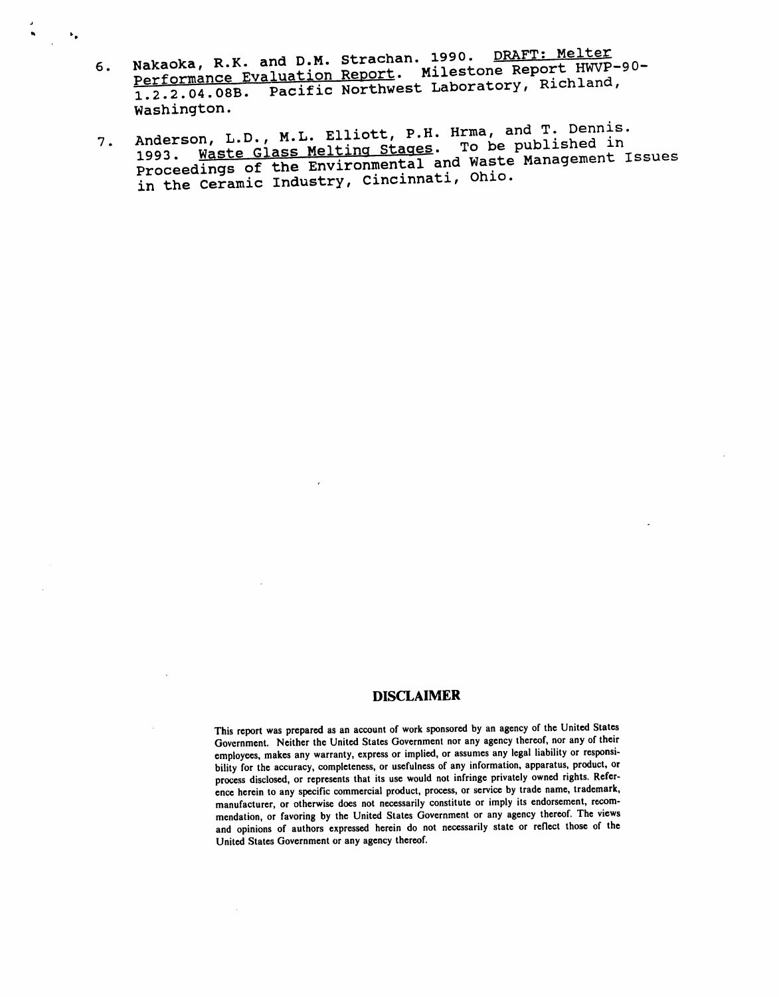DRAFT: Melter Nakaoka, R.K. and D.M. Strachan. 1990. Performance Evaluation Report. Milestone Report HWVP-90- $6.$ 1.2.2.04.08B. Pacific Northwest Laboratory, Richland, Washington.

 $\mathbf{F}_{\mathbf{a}}$ 

Anderson, L.D., M.L. Elliott, P.H. Hrma, and T. Dennis. 1993. Waste Glass Melting Stages. To be published in  $7.$ Proceedings of the Environmental and Waste Management Issues in the Ceramic Industry, Cincinnati, Ohio.

### **DISCLAIMER**

This report was prepared as an account of work sponsored by an agency of the United States Government. Neither the United States Government nor any agency thereof, nor any of their employees, makes any warranty, express or implied, or assumes any legal liability or responsibility for the accuracy, completeness, or usefulness of any information, apparatus, product, or process disclosed, or represents that its use would not infringe privately owned rights. Reference herein to any specific commercial product, process, or service by trade name, trademark, manufacturer, or otherwise does not necessarily constitute or imply its endorsement, recommendation, or favoring by the United States Government or any agency thereof. The views and opinions of authors expressed herein do not necessarily state or reflect those of the United States Government or any agency thereof.